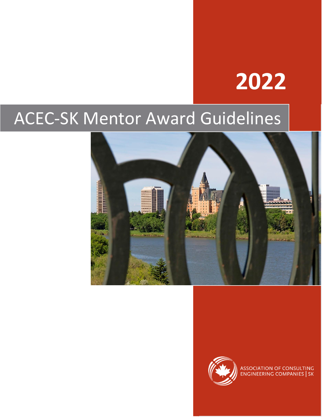# **2022**

## ACEC-SK Mentor Award Guidelines





ASSOCIATION OF CONSULTING<br>ENGINEERING COMPANIES | SK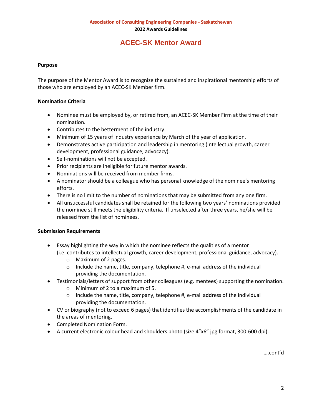## **ACEC-SK Mentor Award**

#### **Purpose**

The purpose of the Mentor Award is to recognize the sustained and inspirational mentorship efforts of those who are employed by an ACEC-SK Member firm.

#### **Nomination Criteria**

- Nominee must be employed by, or retired from, an ACEC-SK Member Firm at the time of their nomination.
- Contributes to the betterment of the industry.
- Minimum of 15 years of industry experience by March of the year of application.
- Demonstrates active participation and leadership in mentoring (intellectual growth, career development, professional guidance, advocacy).
- Self-nominations will not be accepted.
- Prior recipients are ineligible for future mentor awards.
- Nominations will be received from member firms.
- A nominator should be a colleague who has personal knowledge of the nominee's mentoring efforts.
- There is no limit to the number of nominations that may be submitted from any one firm.
- All unsuccessful candidates shall be retained for the following two years' nominations provided the nominee still meets the eligibility criteria. If unselected after three years, he/she will be released from the list of nominees.

#### **Submission Requirements**

- Essay highlighting the way in which the nominee reflects the qualities of a mentor (i.e. contributes to intellectual growth, career development, professional guidance, advocacy).
	- o Maximum of 2 pages.
	- $\circ$  Include the name, title, company, telephone #, e-mail address of the individual providing the documentation.
- Testimonials/letters of support from other colleagues (e.g. mentees) supporting the nomination.
	- o Minimum of 2 to a maximum of 5.
	- $\circ$  Include the name, title, company, telephone #, e-mail address of the individual providing the documentation.
- CV or biography (not to exceed 6 pages) that identifies the accomplishments of the candidate in the areas of mentoring.
- Completed Nomination Form.
- A current electronic colour head and shoulders photo (size 4"x6" jpg format, 300-600 dpi).

….cont'd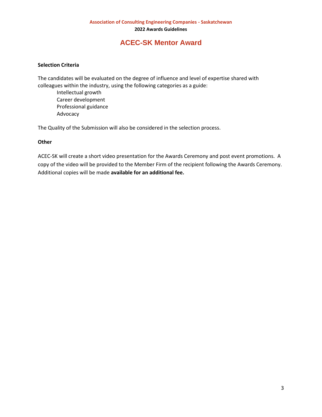## **ACEC-SK Mentor Award**

### **Selection Criteria**

The candidates will be evaluated on the degree of influence and level of expertise shared with colleagues within the industry, using the following categories as a guide:

Intellectual growth Career development Professional guidance Advocacy

The Quality of the Submission will also be considered in the selection process.

#### **Other**

ACEC-SK will create a short video presentation for the Awards Ceremony and post event promotions. A copy of the video will be provided to the Member Firm of the recipient following the Awards Ceremony. Additional copies will be made **available for an additional fee.**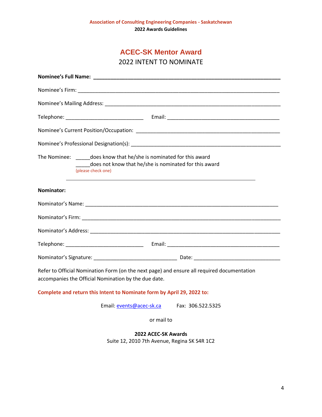| <b>ACEC-SK Mentor Award</b> |  |  |
|-----------------------------|--|--|
|-----------------------------|--|--|

2022 INTENT TO NOMINATE

| The Nominee: does know that he/she is nominated for this award<br>does not know that he/she is nominated for this award<br>(please check one)      |  |  |
|----------------------------------------------------------------------------------------------------------------------------------------------------|--|--|
| Nominator:                                                                                                                                         |  |  |
| Nominator's Name: Name and Society and Society and Society and Society and Society and Society and Society and                                     |  |  |
|                                                                                                                                                    |  |  |
|                                                                                                                                                    |  |  |
|                                                                                                                                                    |  |  |
|                                                                                                                                                    |  |  |
| Refer to Official Nomination Form (on the next page) and ensure all required documentation<br>accompanies the Official Nomination by the due date. |  |  |
| Complete and return this Intent to Nominate form by April 29, 2022 to:                                                                             |  |  |
| Email: events@acec-sk.ca Fax: 306.522.5325                                                                                                         |  |  |
| or mail to                                                                                                                                         |  |  |
| 2022 ACEC-SK Awards<br>Suite 12, 2010 7th Avenue, Regina SK S4R 1C2                                                                                |  |  |